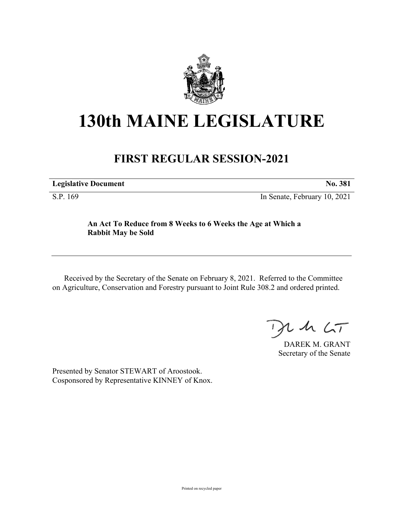

## **130th MAINE LEGISLATURE**

## **FIRST REGULAR SESSION-2021**

**Legislative Document No. 381**

S.P. 169 In Senate, February 10, 2021

## **An Act To Reduce from 8 Weeks to 6 Weeks the Age at Which a Rabbit May be Sold**

Received by the Secretary of the Senate on February 8, 2021. Referred to the Committee on Agriculture, Conservation and Forestry pursuant to Joint Rule 308.2 and ordered printed.

 $125$ 

DAREK M. GRANT Secretary of the Senate

Presented by Senator STEWART of Aroostook. Cosponsored by Representative KINNEY of Knox.